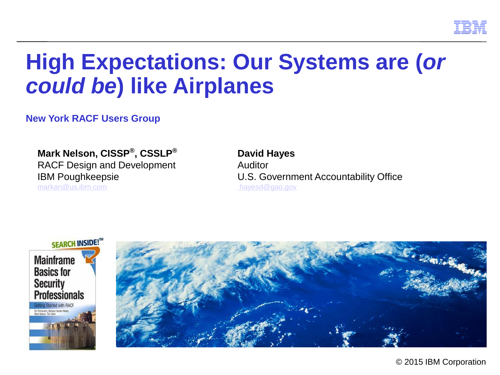

# **High Expectations: Our Systems are (***or could be***) like Airplanes**

**New York RACF Users Group**

**Mark Nelson, CISSP®** RACF Design and Development Auditor [markan@us.ibm.com](mailto:markan@us.ibm.com) [hayesd@gao.gov](mailto:markan@us.ibm.com)

# **David Hayes** IBM Poughkeepsie U.S. Government Accountability Office



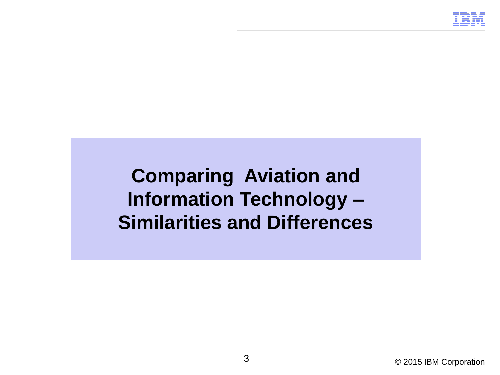

**Comparing Aviation and Information Technology – Similarities and Differences**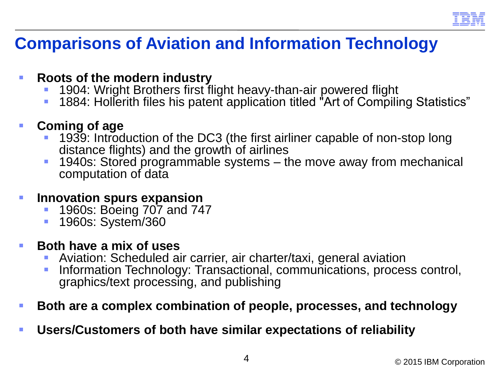

# **Comparisons of Aviation and Information Technology**

### **Roots of the modern industry**

- 1904: Wright Brothers first flight heavy-than-air powered flight
- 1884: Hollerith files his patent application titled "Art of Compiling Statistics"

### **Coming of age**

- 1939: Introduction of the DC3 (the first airliner capable of non-stop long distance flights) and the growth of airlines
- 1940s: Stored programmable systems the move away from mechanical computation of data

### **Innovation spurs expansion**

- 1960s: Boeing 707 and 747
- **1960s: System/360**

### **Both have a mix of uses**

- Aviation: Scheduled air carrier, air charter/taxi, general aviation
- **Information Technology: Transactional, communications, process control,** graphics/text processing, and publishing

### **Both are a complex combination of people, processes, and technology**

**Users/Customers of both have similar expectations of reliability**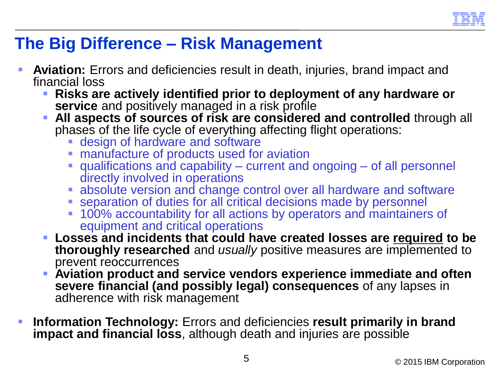

# **The Big Difference – Risk Management**

- **Aviation:** Errors and deficiencies result in death, injuries, brand impact and financial loss
	- **Risks are actively identified prior to deployment of any hardware or service** and positively managed in a risk profile
	- **All aspects of sources of risk are considered and controlled** through all phases of the life cycle of everything affecting flight operations:
		- design of hardware and software
		- **manufacture of products used for aviation**
		- qualifications and capability current and ongoing of all personnel directly involved in operations
		- absolute version and change control over all hardware and software
		- **Exercise 1** separation of duties for all critical decisions made by personnel
		- 100% accountability for all actions by operators and maintainers of equipment and critical operations
	- **Losses and incidents that could have created losses are required to be thoroughly researched** and *usually* positive measures are implemented to prevent reoccurrences
	- **Aviation product and service vendors experience immediate and often severe financial (and possibly legal) consequences** of any lapses in adherence with risk management
- **Information Technology:** Errors and deficiencies **result primarily in brand impact and financial loss**, although death and injuries are possible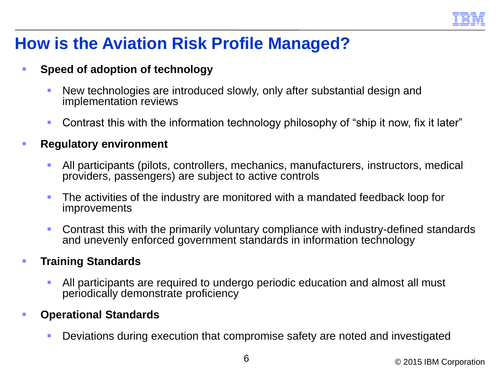

# **How is the Aviation Risk Profile Managed?**

#### **Speed of adoption of technology**

- New technologies are introduced slowly, only after substantial design and implementation reviews
- Contrast this with the information technology philosophy of "ship it now, fix it later"

#### **Regulatory environment**

- All participants (pilots, controllers, mechanics, manufacturers, instructors, medical providers, passengers) are subject to active controls
- **The activities of the industry are monitored with a mandated feedback loop for** improvements
- Contrast this with the primarily voluntary compliance with industry-defined standards and unevenly enforced government standards in information technology

#### **Training Standards**

 All participants are required to undergo periodic education and almost all must periodically demonstrate proficiency

#### **Operational Standards**

Deviations during execution that compromise safety are noted and investigated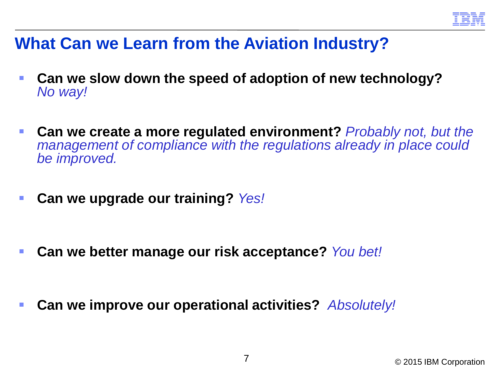

## **What Can we Learn from the Aviation Industry?**

- **Can we slow down the speed of adoption of new technology?**  *No way!*
- **Can we create a more regulated environment?** *Probably not, but the management of compliance with the regulations already in place could be improved.*
- **Can we upgrade our training?** *Yes!*

- **Can we better manage our risk acceptance?** *You bet!*
- **Can we improve our operational activities?** *Absolutely!*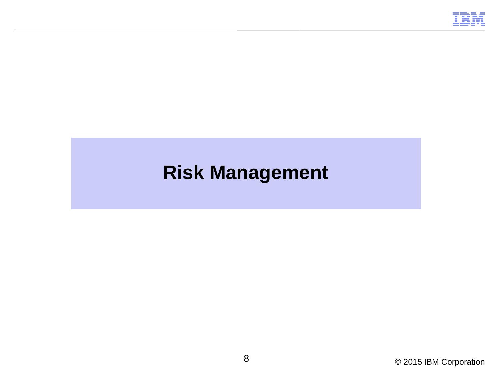

# **Risk Management**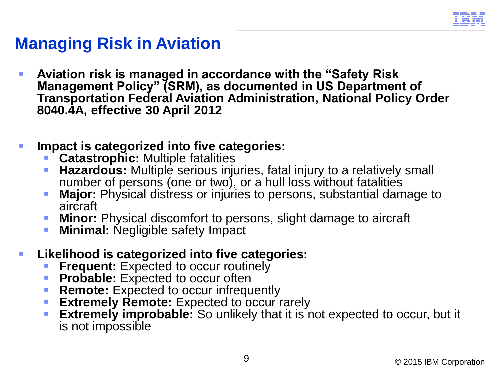

### **Managing Risk in Aviation**

- **Aviation risk is managed in accordance with the "Safety Risk Management Policy" (SRM), as documented in US Department of Transportation Federal Aviation Administration, National Policy Order 8040.4A, effective 30 April 2012**
- **Impact is categorized into five categories:**
	- **Catastrophic:** Multiple fatalities
	- **Hazardous:** Multiple serious injuries, fatal injury to a relatively small number of persons (one or two), or a hull loss without fatalities
	- **Major:** Physical distress or injuries to persons, substantial damage to aircraft
	- **Minor:** Physical discomfort to persons, slight damage to aircraft
	- **Minimal: Negligible safety Impact**
- **Likelihood is categorized into five categories:**
	- **Frequent:** Expected to occur routinely
	- **Probable:** Expected to occur often
	- **Remote:** Expected to occur infrequently
	- **Extremely Remote:** Expected to occur rarely
	- **Extremely improbable:** So unlikely that it is not expected to occur, but it is not impossible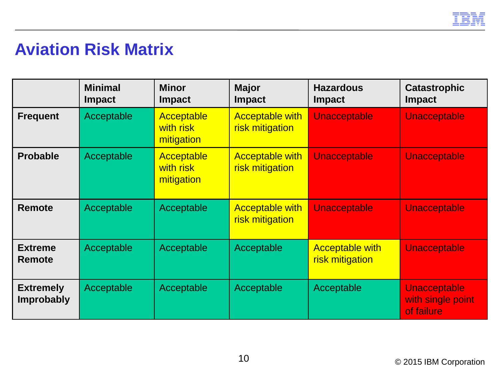

# **Aviation Risk Matrix**

|                                       | <b>Minimal</b><br><b>Impact</b> | <b>Minor</b><br><b>Impact</b>                | <b>Major</b><br><b>Impact</b>             | <b>Hazardous</b><br><b>Impact</b>         | <b>Catastrophic</b><br><b>Impact</b>            |
|---------------------------------------|---------------------------------|----------------------------------------------|-------------------------------------------|-------------------------------------------|-------------------------------------------------|
| <b>Frequent</b>                       | Acceptable                      | <b>Acceptable</b><br>with risk<br>mitigation | <b>Acceptable with</b><br>risk mitigation | <b>Unacceptable</b>                       | Unacceptable                                    |
| <b>Probable</b>                       | Acceptable                      | Acceptable<br>with risk<br>mitigation        | <b>Acceptable with</b><br>risk mitigation | <b>Unacceptable</b>                       | <b>Unacceptable</b>                             |
| <b>Remote</b>                         | Acceptable                      | Acceptable                                   | <b>Acceptable with</b><br>risk mitigation | <b>Unacceptable</b>                       | <b>Unacceptable</b>                             |
| <b>Extreme</b><br><b>Remote</b>       | Acceptable                      | Acceptable                                   | Acceptable                                | <b>Acceptable with</b><br>risk mitigation | Unacceptable                                    |
| <b>Extremely</b><br><b>Improbably</b> | Acceptable                      | Acceptable                                   | Acceptable                                | Acceptable                                | Unacceptable<br>with single point<br>of failure |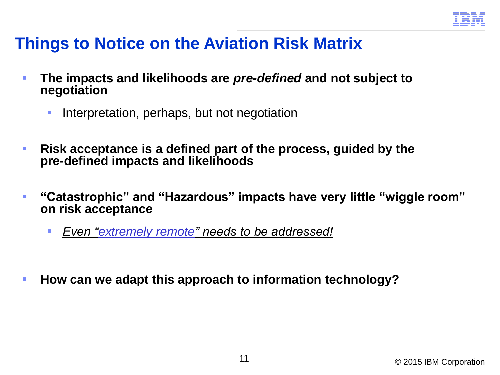

### **Things to Notice on the Aviation Risk Matrix**

- **The impacts and likelihoods are** *pre-defined* **and not subject to negotiation**
	- Interpretation, perhaps, but not negotiation
- **Risk acceptance is a defined part of the process, guided by the pre-defined impacts and likelihoods**
- **"Catastrophic" and "Hazardous" impacts have very little "wiggle room" on risk acceptance**
	- *Even "extremely remote" needs to be addressed!*
- **How can we adapt this approach to information technology?**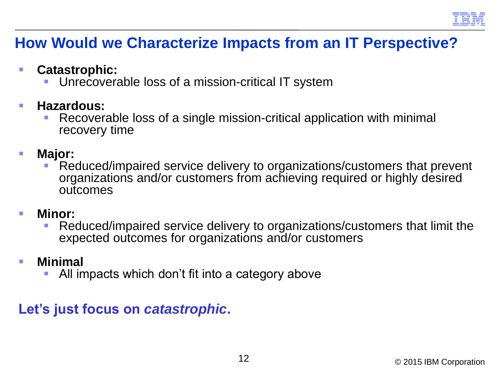

### **How Would we Characterize Impacts from an IT Perspective?**

- **Catastrophic:**
	- Unrecoverable loss of a mission-critical IT system
- **Hazardous:** 
	- Recoverable loss of a single mission-critical application with minimal recovery time
- **Major:**
	- Reduced/impaired service delivery to organizations/customers that prevent organizations and/or customers from achieving required or highly desired outcomes
- **Minor:**
	- Reduced/impaired service delivery to organizations/customers that limit the expected outcomes for organizations and/or customers
- **Minimal**
	- All impacts which don't fit into a category above

### **Let's just focus on** *catastrophic***.**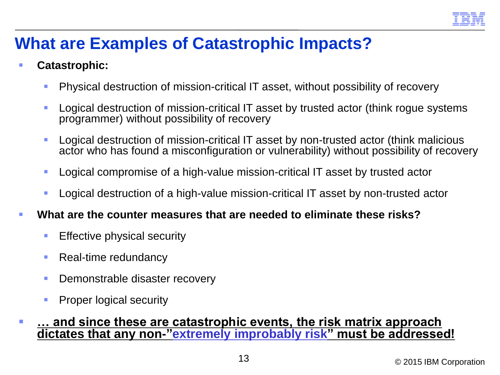

# **What are Examples of Catastrophic Impacts?**

#### **Catastrophic:**

- **Physical destruction of mission-critical IT asset, without possibility of recovery**
- **Logical destruction of mission-critical IT asset by trusted actor (think rogue systems** programmer) without possibility of recovery
- **Logical destruction of mission-critical IT asset by non-trusted actor (think malicious** actor who has found a misconfiguration or vulnerability) without possibility of recovery
- **Logical compromise of a high-value mission-critical IT asset by trusted actor**
- **Logical destruction of a high-value mission-critical IT asset by non-trusted actor**
- **What are the counter measures that are needed to eliminate these risks?**
	- **Effective physical security**
	- Real-time redundancy
	- **Demonstrable disaster recovery**
	- **Proper logical security**
- **… and since these are catastrophic events, the risk matrix approach dictates that any non-"extremely improbably risk" must be addressed!**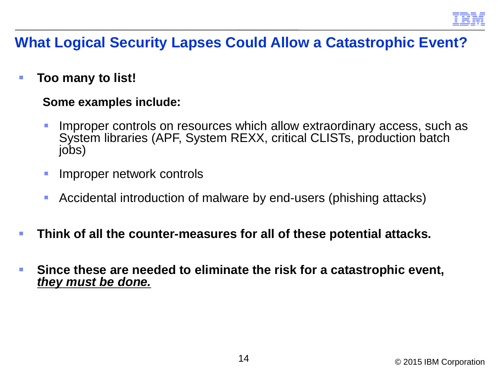

### **What Logical Security Lapses Could Allow a Catastrophic Event?**

**Too many to list!** 

#### **Some examples include:**

- Improper controls on resources which allow extraordinary access, such as System libraries (APF, System REXX, critical CLISTs, production batch jobs)
- **Improper network controls**
- Accidental introduction of malware by end-users (phishing attacks)
- **Think of all the counter-measures for all of these potential attacks.**
- **Since these are needed to eliminate the risk for a catastrophic event,**  *they must be done.*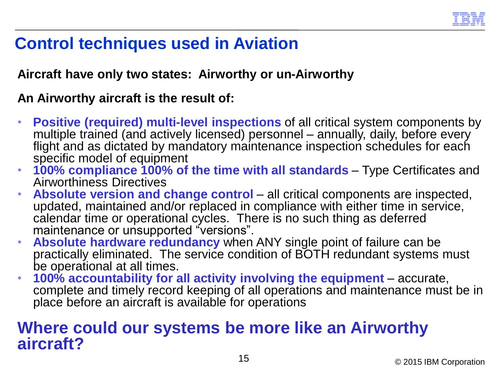

# **Control techniques used in Aviation**

### **Aircraft have only two states: Airworthy or un-Airworthy**

### **An Airworthy aircraft is the result of:**

- **Positive (required) multi-level inspections** of all critical system components by multiple trained (and actively licensed) personnel – annually, daily, before every flight and as dictated by mandatory maintenance inspection schedules for each specific model of equipment
- **100% compliance 100% of the time with all standards** Type Certificates and Airworthiness Directives
- **Absolute version and change control**  all critical components are inspected, updated, maintained and/or replaced in compliance with either time in service, calendar time or operational cycles. There is no such thing as deferred maintenance or unsupported "versions".
- **Absolute hardware redundancy** when ANY single point of failure can be practically eliminated. The service condition of BOTH redundant systems must be operational at all times.
- **100% accountability for all activity involving the equipment**  accurate, complete and timely record keeping of all operations and maintenance must be in place before an aircraft is available for operations

### **Where could our systems be more like an Airworthy aircraft?**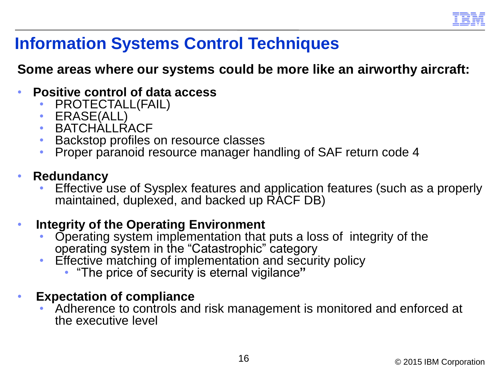

# **Information Systems Control Techniques**

### **Some areas where our systems could be more like an airworthy aircraft:**

- **Positive control of data access**
	- PROTECTALL(FAIL)
	- ERASE(ALL)
	- BATCHALLRACF
	- Backstop profiles on resource classes
	- Proper paranoid resource manager handling of SAF return code 4

#### • **Redundancy**

• Effective use of Sysplex features and application features (such as a properly maintained, duplexed, and backed up RACF DB)

#### • **Integrity of the Operating Environment**

- Operating system implementation that puts a loss of integrity of the operating system in the "Catastrophic" category
- Effective matching of implementation and security policy
	- "The price of security is eternal vigilance**"**
- **Expectation of compliance**
	- Adherence to controls and risk management is monitored and enforced at the executive level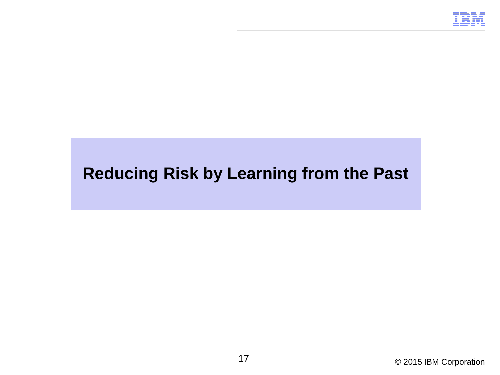

# **Reducing Risk by Learning from the Past**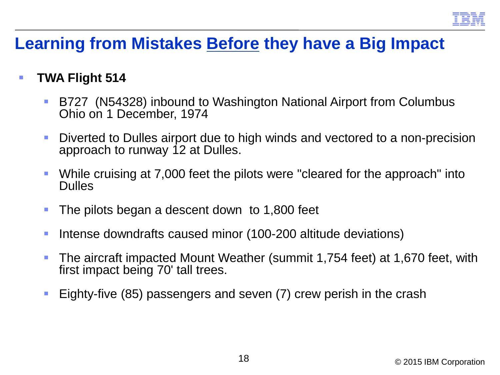

### **Learning from Mistakes Before they have a Big Impact**

### **TWA Flight 514**

- B727 (N54328) inbound to Washington National Airport from Columbus Ohio on 1 December, 1974
- **Diverted to Dulles airport due to high winds and vectored to a non-precision** approach to runway 12 at Dulles.
- While cruising at 7,000 feet the pilots were "cleared for the approach" into Dulles
- The pilots began a descent down to 1,800 feet
- Intense downdrafts caused minor (100-200 altitude deviations)
- The aircraft impacted Mount Weather (summit 1,754 feet) at 1,670 feet, with first impact being 70' tall trees.
- Eighty-five (85) passengers and seven (7) crew perish in the crash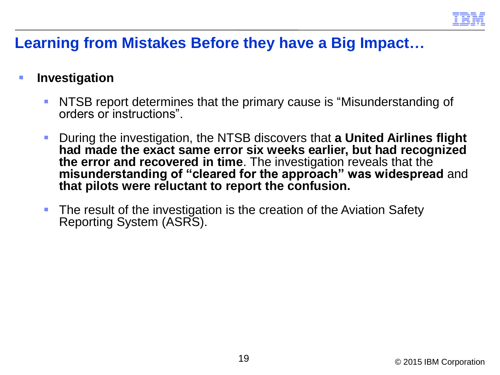

### **Learning from Mistakes Before they have a Big Impact…**

### **Figure 11 Investigation**

- **NTSB report determines that the primary cause is "Misunderstanding of** orders or instructions".
- During the investigation, the NTSB discovers that **a United Airlines flight had made the exact same error six weeks earlier, but had recognized the error and recovered in time**. The investigation reveals that the **misunderstanding of "cleared for the approach" was widespread** and **that pilots were reluctant to report the confusion.**
- **The result of the investigation is the creation of the Aviation Safety** Reporting System (ASRS).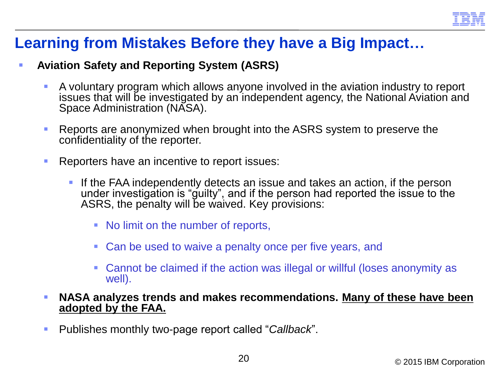

### **Learning from Mistakes Before they have a Big Impact…**

#### **Aviation Safety and Reporting System (ASRS)**

- A voluntary program which allows anyone involved in the aviation industry to report issues that will be investigated by an independent agency, the National Aviation and Space Administration (NASA).
- **Reports are anonymized when brought into the ASRS system to preserve the** confidentiality of the reporter.
- **Reporters have an incentive to report issues:** 
	- If the FAA independently detects an issue and takes an action, if the person under investigation is "guilty", and if the person had reported the issue to the ASRS, the penalty will be waived. Key provisions:
		- No limit on the number of reports,
		- Can be used to waive a penalty once per five years, and
		- Cannot be claimed if the action was illegal or willful (loses anonymity as well).
- **NASA analyzes trends and makes recommendations. Many of these have been adopted by the FAA.**
- Publishes monthly two-page report called "*Callback*".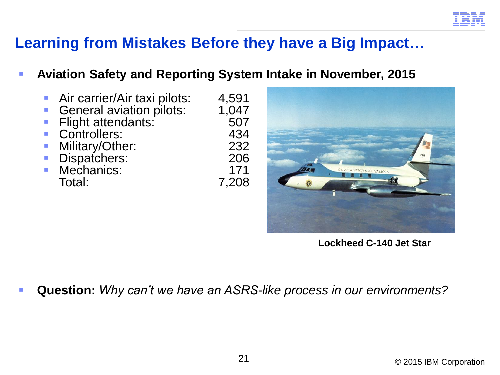

### **Learning from Mistakes Before they have a Big Impact…**

#### **Aviation Safety and Reporting System Intake in November, 2015**

- Air carrier/Air taxi pilots: 4,591<br>General aviation pilots: 1,047 General aviation pilots: 1,047<br>Flight attendants: 507 Flight attendants: 507<br>Controllers: 434 Controllers: 434<br>Military/Other: 432 Military/Other: 232 232<br>• Dispatchers: 206 Dispatchers: 206
- Mechanics:<br>Total:

7,208



**Lockheed C-140 Jet Star**

**Question:** *Why can't we have an ASRS-like process in our environments?*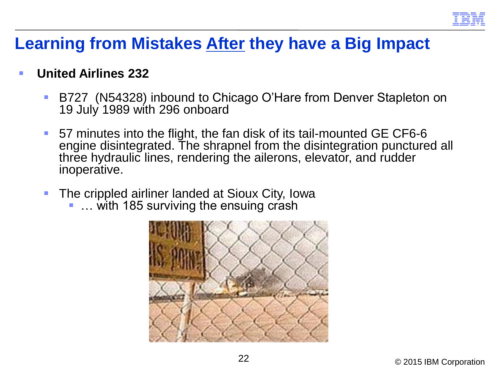

## **Learning from Mistakes After they have a Big Impact**

### **United Airlines 232**

- B727 (N54328) inbound to Chicago O'Hare from Denver Stapleton on 19 July 1989 with 296 onboard
- 57 minutes into the flight, the fan disk of its tail-mounted GE CF6-6 engine disintegrated. The shrapnel from the disintegration punctured all three hydraulic lines, rendering the ailerons, elevator, and rudder inoperative.
- **The crippled airliner landed at Sioux City, Iowa** 
	- … with 185 surviving the ensuing crash

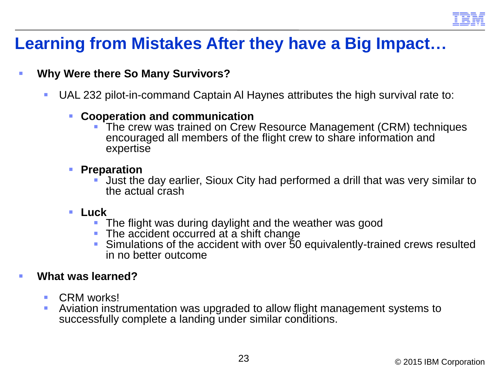

# **Learning from Mistakes After they have a Big Impact…**

#### **Why Were there So Many Survivors?**

- UAL 232 pilot-in-command Captain Al Haynes attributes the high survival rate to:
	- **Cooperation and communication**
		- The crew was trained on Crew Resource Management (CRM) techniques encouraged all members of the flight crew to share information and expertise
	- **Preparation** 
		- Just the day earlier, Sioux City had performed a drill that was very similar to the actual crash
	- **Luck**
		- The flight was during daylight and the weather was good
		- The accident occurred at a shift change
		- Simulations of the accident with over 50 equivalently-trained crews resulted in no better outcome

#### **What was learned?**

- **CRM** works!
- Aviation instrumentation was upgraded to allow flight management systems to successfully complete a landing under similar conditions.